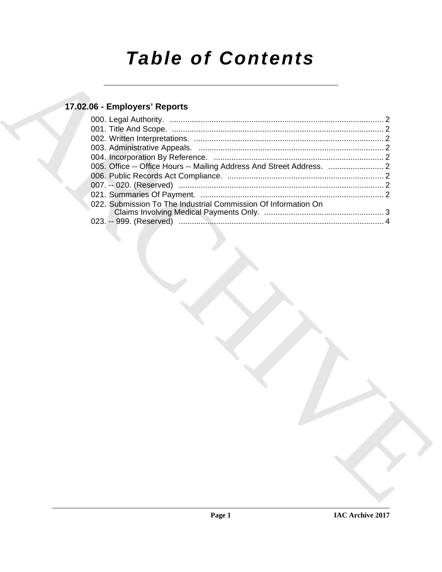# *Table of Contents*

### **17.02.06 - Employers' Reports**

| 17.02.06 - Employers' Reports                                  |  |
|----------------------------------------------------------------|--|
|                                                                |  |
|                                                                |  |
|                                                                |  |
|                                                                |  |
|                                                                |  |
|                                                                |  |
|                                                                |  |
|                                                                |  |
| 022. Submission To The Industrial Commission Of Information On |  |
|                                                                |  |
|                                                                |  |
|                                                                |  |
|                                                                |  |
|                                                                |  |
|                                                                |  |
|                                                                |  |
|                                                                |  |
|                                                                |  |
|                                                                |  |
|                                                                |  |
|                                                                |  |
|                                                                |  |
|                                                                |  |
|                                                                |  |
|                                                                |  |
|                                                                |  |
|                                                                |  |
|                                                                |  |
|                                                                |  |
|                                                                |  |
|                                                                |  |
|                                                                |  |
|                                                                |  |
|                                                                |  |
|                                                                |  |
|                                                                |  |
|                                                                |  |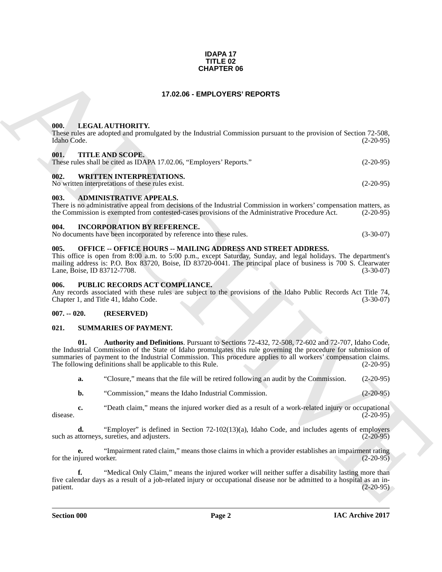#### **IDAPA 17 TITLE 02 CHAPTER 06**

#### **17.02.06 - EMPLOYERS' REPORTS**

#### <span id="page-1-1"></span><span id="page-1-0"></span>**000. LEGAL AUTHORITY.**

These rules are adopted and promulgated by the Industrial Commission pursuant to the provision of Section 72-508, Idaho Code. (2-20-95) Idaho Code. (2-20-95)

#### <span id="page-1-2"></span>**001. TITLE AND SCOPE.**

|  | These rules shall be cited as IDAPA 17.02.06, "Employers' Reports." | $(2-20-95)$ |
|--|---------------------------------------------------------------------|-------------|
|  |                                                                     |             |

#### <span id="page-1-3"></span>**002. WRITTEN INTERPRETATIONS.**

No written interpretations of these rules exist. (2-20-95)

#### <span id="page-1-4"></span>**003. ADMINISTRATIVE APPEALS.**

There is no administrative appeal from decisions of the Industrial Commission in workers' compensation matters, as the Commission is exempted from contested-cases provisions of the Administrative Procedure Act. (2-20-95)

#### <span id="page-1-5"></span>**004. INCORPORATION BY REFERENCE.**

| No documents have been incorporated by reference into these rules. | $(3-30-07)$ |
|--------------------------------------------------------------------|-------------|
|--------------------------------------------------------------------|-------------|

#### <span id="page-1-6"></span>**005. OFFICE -- OFFICE HOURS -- MAILING ADDRESS AND STREET ADDRESS.**

This office is open from 8:00 a.m. to 5:00 p.m., except Saturday, Sunday, and legal holidays. The department's mailing address is: P.O. Box 83720, Boise, ID 83720-0041. The principal place of business is 700 S. Clearwater Lane, Boise, ID 83712-7708. Lane, Boise, ID 83712-7708.

#### <span id="page-1-7"></span>**006. PUBLIC RECORDS ACT COMPLIANCE.**

Any records associated with these rules are subject to the provisions of the Idaho Public Records Act Title 74, Chapter 1, and Title 41, Idaho Code. (3-30-07)

#### <span id="page-1-8"></span>**007. -- 020. (RESERVED)**

#### <span id="page-1-10"></span><span id="page-1-9"></span>**021. SUMMARIES OF PAYMENT.**

**CHAPTER OF**<br> **CHARCHIVE CONTRACT CONTRACT CONTRACT CONTRACT CONTRACT CONTRACT CONTRACT CONTRACT CONTRACT CONTRACT CONTRACT CONTRACT CONTRACT CONTRACT CONTRACT CONTRACT CONTRACT CONTRACT CONTRACT CONTRACT CONTRACT CONTRAC 01. Authority and Definitions**. Pursuant to Sections 72-432, 72-508, 72-602 and 72-707, Idaho Code, the Industrial Commission of the State of Idaho promulgates this rule governing the procedure for submission of summaries of payment to the Industrial Commission. This procedure applies to all workers' compensation claims.<br>The following definitions shall be applicable to this Rule. (2-20-95) The following definitions shall be applicable to this Rule.

<span id="page-1-11"></span>**a.** "Closure," means that the file will be retired following an audit by the Commission. (2-20-95)

**b.** "Commission," means the Idaho Industrial Commission. (2-20-95)

**c.** "Death claim," means the injured worker died as a result of a work-related injury or occupational (2-20-95) disease.  $(2-20-95)$ 

**d.** "Employer" is defined in Section 72-102(13)(a), Idaho Code, and includes agents of employers uttorneys, sureties, and adjusters. (2-20-95) such as attorneys, sureties, and adjusters.

**e.** "Impairment rated claim," means those claims in which a provider establishes an impairment rating iured worker. for the injured worker.

**f.** "Medical Only Claim," means the injured worker will neither suffer a disability lasting more than five calendar days as a result of a job-related injury or occupational disease nor be admitted to a hospital as an in-<br>patient. (2-20-95) patient. (2-20-95)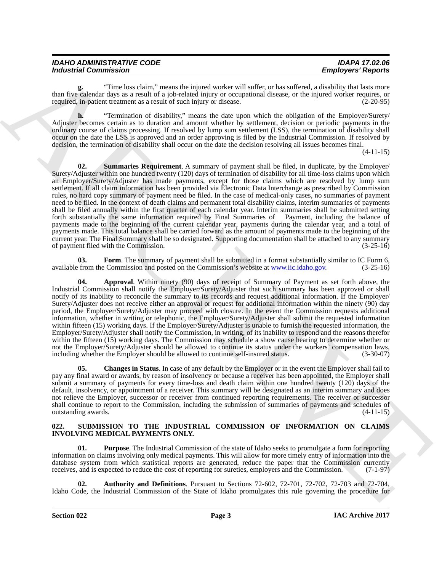| <b>IDAHO ADMINISTRATIVE CODE</b> | <b>IDAPA 17.02.06</b>     |
|----------------------------------|---------------------------|
| <b>Industrial Commission</b>     | <b>Employers' Reports</b> |

**g.** "Time loss claim," means the injured worker will suffer, or has suffered, a disability that lasts more than five calendar days as a result of a job-related injury or occupational disease, or the injured worker requires, or required, in-patient treatment as a result of such injury or disease. (2-20-95)

<span id="page-2-7"></span>**h.** "Termination of disability," means the date upon which the obligation of the Employer/Surety/ Adjuster becomes certain as to duration and amount whether by settlement, decision or periodic payments in the ordinary course of claims processing. If resolved by lump sum settlement (LSS), the termination of disability shall occur on the date the LSS is approved and an order approving is filed by the Industrial Commission. If resolved by decision, the termination of disability shall occur on the date the decision resolving all issues becomes final.

(4-11-15)

Modularial Commission: The two chiral modularity and the state of the state of the state of the state of the state of the state of the state of the state of the state of the state of the state of the state of the state of **02.** Summaries Requirement. A summary of payment shall be filed, in duplicate, by the Employer/ Surety/Adjuster within one hundred twenty (120) days of termination of disability for all time-loss claims upon which an Employer/Surety/Adjuster has made payments, except for those claims which are resolved by lump sum settlement. If all claim information has been provided via Electronic Data Interchange as prescribed by Commission rules, no hard copy summary of payment need be filed. In the case of medical-only cases, no summaries of payment need to be filed. In the context of death claims and permanent total disability claims, interim summaries of payments shall be filed annually within the first quarter of each calendar year. Interim summaries shall be submitted setting forth substantially the same information required by Final Summaries of Payment, including the balance of payments made to the beginning of the current calendar year, payments during the calendar year, and a total of payments made. This total balance shall be carried forward as the amount of payments made to the beginning of the current year. The Final Summary shall be so designated. Supporting documentation shall be attached to any summary<br>of payment filed with the Commission. (3-25-16) of payment filed with the Commission.

<span id="page-2-6"></span>**03. Form**. The summary of payment shall be submitted in a format substantially similar to IC Form 6, from the Commission and posted on the Commission's website at www.jic.jdaho.gov. (3-25-16) available from the Commission and posted on the Commission's website at www.iic.idaho.gov.

<span id="page-2-4"></span>**04. Approval**. Within ninety (90) days of receipt of Summary of Payment as set forth above, the Industrial Commission shall notify the Employer/Surety/Adjuster that such summary has been approved or shall notify of its inability to reconcile the summary to its records and request additional information. If the Employer/ Surety/Adjuster does not receive either an approval or request for additional information within the ninety (90) day period, the Employer/Surety/Adjuster may proceed with closure. In the event the Commission requests additional information, whether in writing or telephonic, the Employer/Surety/Adjuster shall submit the requested information within fifteen (15) working days. If the Employer/Surety/Adjuster is unable to furnish the requested information, the Employer/Surety/Adjuster shall notify the Commission, in writing, of its inability to respond and the reasons therefor within the fifteen (15) working days. The Commission may schedule a show cause hearing to determine whether or not the Employer/Surety/Adjuster should be allowed to continue its status under the workers' compensation laws, including whether the Employer should be allowed to continue self-insured status. (3-30-07)

<span id="page-2-5"></span>**05. Changes in Status**. In case of any default by the Employer or in the event the Employer shall fail to pay any final award or awards, by reason of insolvency or because a receiver has been appointed, the Employer shall submit a summary of payments for every time-loss and death claim within one hundred twenty (120) days of the default, insolvency, or appointment of a receiver. This summary will be designated as an interim summary and does not relieve the Employer, successor or receiver from continued reporting requirements. The receiver or successor shall continue to report to the Commission, including the submission of summaries of payments and schedules of outstanding awards. (4-11-15) outstanding awards.

#### <span id="page-2-1"></span><span id="page-2-0"></span>**022. SUBMISSION TO THE INDUSTRIAL COMMISSION OF INFORMATION ON CLAIMS INVOLVING MEDICAL PAYMENTS ONLY.**

<span id="page-2-3"></span>**01. Purpose**. The Industrial Commission of the state of Idaho seeks to promulgate a form for reporting information on claims involving only medical payments. This will allow for more timely entry of information into the database system from which statistical reports are generated, reduce the paper that the Commission currently receives, and is expected to reduce the cost of reporting for sureties, employers and the Commission. (7-1-97)

<span id="page-2-2"></span>**02. Authority and Definitions**. Pursuant to Sections 72-602, 72-701, 72-702, 72-703 and 72-704, Idaho Code, the Industrial Commission of the State of Idaho promulgates this rule governing the procedure for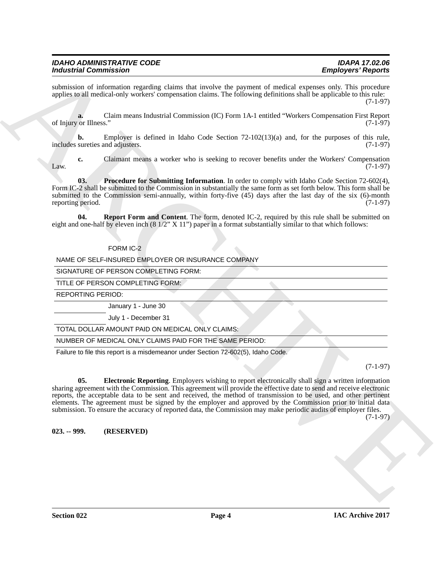submission of information regarding claims that involve the payment of medical expenses only. This procedure applies to all medical-only workers' compensation claims. The following definitions shall be applicable to this rule: (7-1-97)

**a.** Claim means Industrial Commission (IC) Form 1A-1 entitled "Workers Compensation First Report of Injury or Illness." (7-1-97)

**b.** Employer is defined in Idaho Code Section 72-102(13)(a) and, for the purposes of this rule, sureties and adjusters. (7-1-97) includes sureties and adjusters.

**c.** Claimant means a worker who is seeking to recover benefits under the Workers' Compensation (7-1-97)  $\mu$  (7-1-97) (7-1-97)

<span id="page-3-2"></span>**03. Procedure for Submitting Information**. In order to comply with Idaho Code Section 72-602(4), Form IC-2 shall be submitted to the Commission in substantially the same form as set forth below. This form shall be submitted to the Commission semi-annually, within forty-five  $(45)$  days after the last day of the six  $(6)$ -month reporting period.  $(7-1-97)$ reporting period.

**04.** Report Form and Content. The form, denoted IC-2, required by this rule shall be submitted on eight and one-half by eleven inch  $(8\frac{1}{2}$ " X  $11$ ") paper in a format substantially similar to that which follows:

#### <span id="page-3-3"></span>FORM IC-2

NAME OF SELF-INSURED EMPLOYER OR INSURANCE COMPANY

SIGNATURE OF PERSON COMPLETING FORM:

TITLE OF PERSON COMPLETING FORM:

REPORTING PERIOD:

January 1 - June 30

July 1 - December 31

TOTAL DOLLAR AMOUNT PAID ON MEDICAL ONLY CLAIMS:

NUMBER OF MEDICAL ONLY CLAIMS PAID FOR THE SAME PERIOD:

<span id="page-3-1"></span>Failure to file this report is a misdemeanor under Section 72-602(5), Idaho Code.

(7-1-97)

For the Commission Control of the Control of the Control of the Control of the Commission Control of the Control of the Control of the Control of the Control of the Control of the Control of the Control of the Control of **05. Electronic Reporting**. Employers wishing to report electronically shall sign a written information sharing agreement with the Commission. This agreement will provide the effective date to send and receive electronic reports, the acceptable data to be sent and received, the method of transmission to be used, and other pertinent elements. The agreement must be signed by the employer and approved by the Commission prior to initial data submission. To ensure the accuracy of reported data, the Commission may make periodic audits of employer files.

(7-1-97)

<span id="page-3-0"></span>**023. -- 999. (RESERVED)**